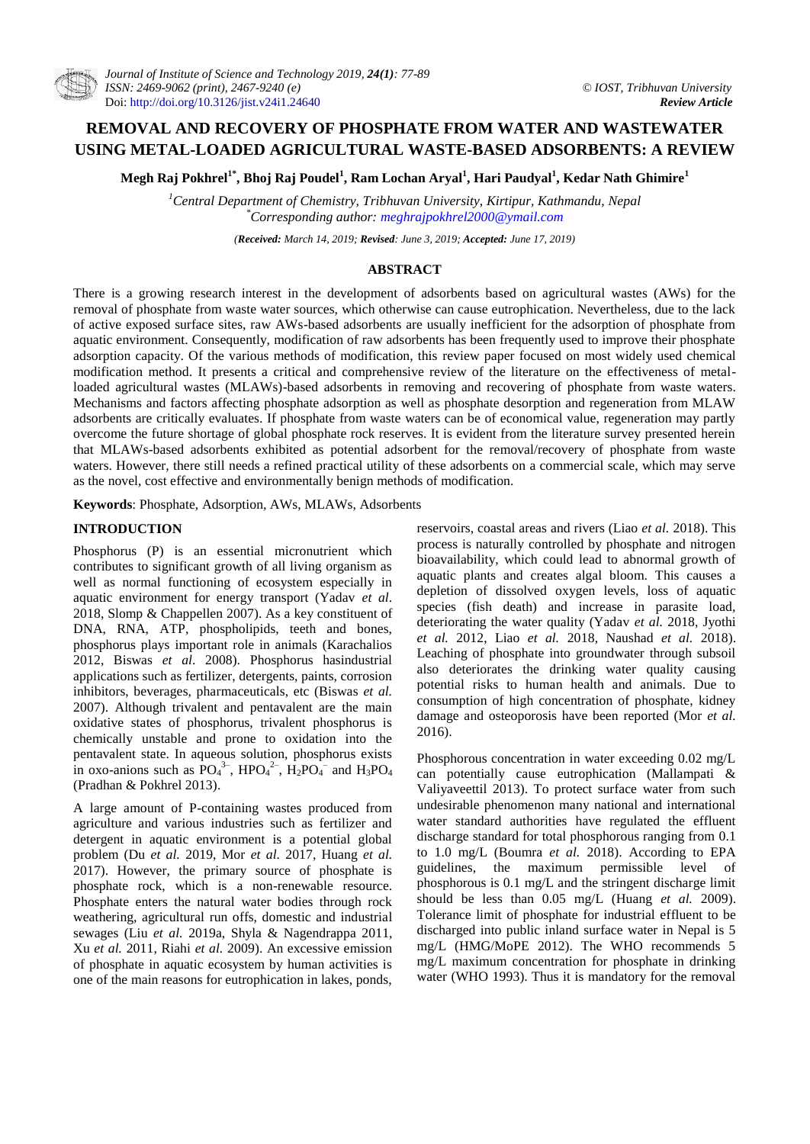# **REMOVAL AND RECOVERY OF PHOSPHATE FROM WATER AND WASTEWATER USING METAL-LOADED AGRICULTURAL WASTE-BASED ADSORBENTS: A REVIEW**

**Megh Raj Pokhrel1\*, Bhoj Raj Poudel<sup>1</sup> , Ram Lochan Aryal<sup>1</sup> , Hari Paudyal<sup>1</sup> , Kedar Nath Ghimire<sup>1</sup>**

*<sup>1</sup>Central Department of Chemistry, Tribhuvan University, Kirtipur, Kathmandu, Nepal \*Corresponding author: [meghrajpokhrel2000@ymail.com](mailto:meghrajpokhrel2000@ymail.com)*

*(Received: March 14, 2019; Revised: June 3, 2019; Accepted: June 17, 2019)*

# **ABSTRACT**

There is a growing research interest in the development of adsorbents based on agricultural wastes (AWs) for the removal of phosphate from waste water sources, which otherwise can cause eutrophication. Nevertheless, due to the lack of active exposed surface sites, raw AWs-based adsorbents are usually inefficient for the adsorption of phosphate from aquatic environment. Consequently, modification of raw adsorbents has been frequently used to improve their phosphate adsorption capacity. Of the various methods of modification, this review paper focused on most widely used chemical modification method. It presents a critical and comprehensive review of the literature on the effectiveness of metalloaded agricultural wastes (MLAWs)-based adsorbents in removing and recovering of phosphate from waste waters. Mechanisms and factors affecting phosphate adsorption as well as phosphate desorption and regeneration from MLAW adsorbents are critically evaluates. If phosphate from waste waters can be of economical value, regeneration may partly overcome the future shortage of global phosphate rock reserves. It is evident from the literature survey presented herein that MLAWs-based adsorbents exhibited as potential adsorbent for the removal/recovery of phosphate from waste waters. However, there still needs a refined practical utility of these adsorbents on a commercial scale, which may serve as the novel, cost effective and environmentally benign methods of modification.

**Keywords**: Phosphate, Adsorption, AWs, MLAWs, Adsorbents

# **INTRODUCTION**

Phosphorus (P) is an essential micronutrient which contributes to significant growth of all living organism as well as normal functioning of ecosystem especially in aquatic environment for energy transport (Yadav *et al*. 2018, Slomp & Chappellen 2007). As a key constituent of DNA, RNA, ATP, phospholipids, teeth and bones, phosphorus plays important role in animals (Karachalios 2012, Biswas *et al*. 2008). Phosphorus hasindustrial applications such as fertilizer, detergents, paints, corrosion inhibitors, beverages, pharmaceuticals, etc (Biswas *et al.*  2007). Although trivalent and pentavalent are the main oxidative states of phosphorus, trivalent phosphorus is chemically unstable and prone to oxidation into the pentavalent state. In aqueous solution, phosphorus exists in oxo-anions such as  $\text{PO}_4^{3-}$ , HPO<sub>4</sub><sup>2-</sup>, H<sub>2</sub>PO<sub>4</sub><sup>-</sup> and H<sub>3</sub>PO<sub>4</sub> (Pradhan & Pokhrel 2013).

A large amount of P-containing wastes produced from agriculture and various industries such as fertilizer and detergent in aquatic environment is a potential global problem (Du *et al.* 2019, Mor *et al.* 2017, Huang *et al.* 2017). However, the primary source of phosphate is phosphate rock, which is a non-renewable resource. Phosphate enters the natural water bodies through rock weathering, agricultural run offs, domestic and industrial sewages (Liu *et al.* 2019a, Shyla & Nagendrappa 2011, Xu *et al.* 2011, Riahi *et al.* 2009). An excessive emission of phosphate in aquatic ecosystem by human activities is one of the main reasons for eutrophication in lakes, ponds, reservoirs, coastal areas and rivers (Liao *et al.* 2018). This process is naturally controlled by phosphate and nitrogen bioavailability, which could lead to abnormal growth of aquatic plants and creates algal bloom. This causes a depletion of dissolved oxygen levels, loss of aquatic species (fish death) and increase in parasite load, deteriorating the water quality (Yadav *et al.* 2018, Jyothi *et al.* 2012, Liao *et al.* 2018, Naushad *et al.* 2018). Leaching of phosphate into groundwater through subsoil also deteriorates the drinking water quality causing potential risks to human health and animals. Due to consumption of high concentration of phosphate, kidney damage and osteoporosis have been reported (Mor *et al.*  2016).

Phosphorous concentration in water exceeding 0.02 mg/L can potentially cause eutrophication (Mallampati & Valiyaveettil 2013). To protect surface water from such undesirable phenomenon many national and international water standard authorities have regulated the effluent discharge standard for total phosphorous ranging from 0.1 to 1.0 mg/L (Boumra *et al.* 2018). According to EPA guidelines, the maximum permissible level of phosphorous is 0.1 mg/L and the stringent discharge limit should be less than 0.05 mg/L (Huang *et al.* 2009). Tolerance limit of phosphate for industrial effluent to be discharged into public inland surface water in Nepal is 5 mg/L (HMG/MoPE 2012). The WHO recommends 5 mg/L maximum concentration for phosphate in drinking water (WHO 1993). Thus it is mandatory for the removal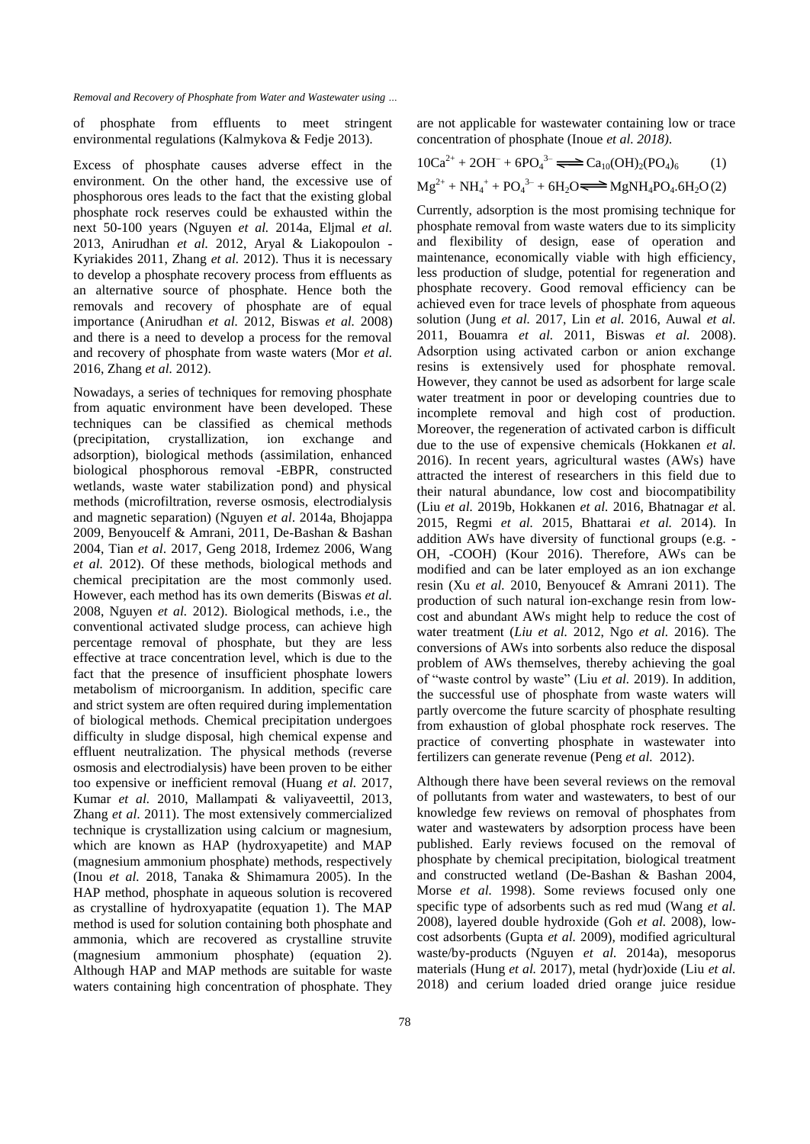of phosphate from effluents to meet stringent environmental regulations (Kalmykova & Fedje 2013).

Excess of phosphate causes adverse effect in the environment. On the other hand, the excessive use of phosphorous ores leads to the fact that the existing global phosphate rock reserves could be exhausted within the next 50-100 years (Nguyen *et al.* 2014a, Eljmal *et al.*  2013, Anirudhan *et al.* 2012, Aryal & Liakopoulon - Kyriakides 2011, Zhang *et al.* 2012). Thus it is necessary to develop a phosphate recovery process from effluents as an alternative source of phosphate. Hence both the removals and recovery of phosphate are of equal importance (Anirudhan *et al.* 2012, Biswas *et al.* 2008) and there is a need to develop a process for the removal and recovery of phosphate from waste waters (Mor *et al.*  2016, Zhang *et al.* 2012).

Nowadays, a series of techniques for removing phosphate from aquatic environment have been developed. These techniques can be classified as chemical methods (precipitation, crystallization, ion exchange and adsorption), biological methods (assimilation, enhanced biological phosphorous removal -EBPR, constructed wetlands, waste water stabilization pond) and physical methods (microfiltration, reverse osmosis, electrodialysis and magnetic separation) (Nguyen *et al*. 2014a, Bhojappa 2009, Benyoucelf & Amrani, 2011, De-Bashan & Bashan 2004, Tian *et al*. 2017, Geng 2018, Irdemez 2006, Wang *et al.* 2012). Of these methods, biological methods and chemical precipitation are the most commonly used. However, each method has its own demerits (Biswas *et al.* 2008, Nguyen *et al.* 2012). Biological methods, i.e., the conventional activated sludge process, can achieve high percentage removal of phosphate, but they are less effective at trace concentration level, which is due to the fact that the presence of insufficient phosphate lowers metabolism of microorganism. In addition, specific care and strict system are often required during implementation of biological methods. Chemical precipitation undergoes difficulty in sludge disposal, high chemical expense and effluent neutralization. The physical methods (reverse osmosis and electrodialysis) have been proven to be either too expensive or inefficient removal (Huang *et al.* 2017, Kumar *et al.* 2010, Mallampati & valiyaveettil, 2013, Zhang *et al*. 2011). The most extensively commercialized technique is crystallization using calcium or magnesium, which are known as HAP (hydroxyapetite) and MAP (magnesium ammonium phosphate) methods, respectively (Inou *et al.* 2018, Tanaka & Shimamura 2005). In the HAP method, phosphate in aqueous solution is recovered as crystalline of hydroxyapatite (equation 1). The MAP method is used for solution containing both phosphate and ammonia, which are recovered as crystalline struvite (magnesium ammonium phosphate) (equation 2). Although HAP and MAP methods are suitable for waste waters containing high concentration of phosphate. They

are not applicable for wastewater containing low or trace concentration of phosphate (Inoue *et al. 2018)*.

$$
10Ca^{2+} + 2OH^{-} + 6PO_{4}^{3-} \Longleftrightarrow Ca_{10}(OH)_{2}(PO_{4})_{6} \tag{1}
$$

$$
Mg^{2+} + NH_4^+ + PO_4^{3-} + 6H_2O \Longrightarrow MgNH_4PO_4.6H_2O(2)
$$

Currently, adsorption is the most promising technique for phosphate removal from waste waters due to its simplicity and flexibility of design, ease of operation and maintenance, economically viable with high efficiency, less production of sludge, potential for regeneration and phosphate recovery. Good removal efficiency can be achieved even for trace levels of phosphate from aqueous solution (Jung *et al.* 2017, Lin *et al.* 2016, Auwal *et al.*  2011, Bouamra *et al.* 2011, Biswas *et al.* 2008). Adsorption using activated carbon or anion exchange resins is extensively used for phosphate removal. However, they cannot be used as adsorbent for large scale water treatment in poor or developing countries due to incomplete removal and high cost of production. Moreover, the regeneration of activated carbon is difficult due to the use of expensive chemicals (Hokkanen *et al.* 2016). In recent years, agricultural wastes (AWs) have attracted the interest of researchers in this field due to their natural abundance, low cost and biocompatibility (Liu *et al.* 2019b, Hokkanen *et al.* 2016, Bhatnagar *et* al. 2015, Regmi *et al.* 2015, Bhattarai *et al.* 2014). In addition AWs have diversity of functional groups (e.g. - OH, -COOH) (Kour 2016). Therefore, AWs can be modified and can be later employed as an ion exchange resin (Xu *et al.* 2010, Benyoucef & Amrani 2011). The production of such natural ion-exchange resin from lowcost and abundant AWs might help to reduce the cost of water treatment (*Liu et al.* 2012, Ngo *et al.* 2016). The conversions of AWs into sorbents also reduce the disposal problem of AWs themselves, thereby achieving the goal of "waste control by waste" (Liu *et al.* 2019). In addition, the successful use of phosphate from waste waters will partly overcome the future scarcity of phosphate resulting from exhaustion of global phosphate rock reserves. The practice of converting phosphate in wastewater into fertilizers can generate revenue (Peng *et al.* 2012).

Although there have been several reviews on the removal of pollutants from water and wastewaters, to best of our knowledge few reviews on removal of phosphates from water and wastewaters by adsorption process have been published. Early reviews focused on the removal of phosphate by chemical precipitation, biological treatment and constructed wetland (De-Bashan & Bashan 2004, Morse *et al.* 1998). Some reviews focused only one specific type of adsorbents such as red mud (Wang *et al.*  2008), layered double hydroxide (Goh *et al.* 2008), lowcost adsorbents (Gupta *et al.* 2009), modified agricultural waste/by-products (Nguyen *et al.* 2014a), mesoporus materials (Hung *et al.* 2017), metal (hydr)oxide (Liu *et al.*  2018) and cerium loaded dried orange juice residue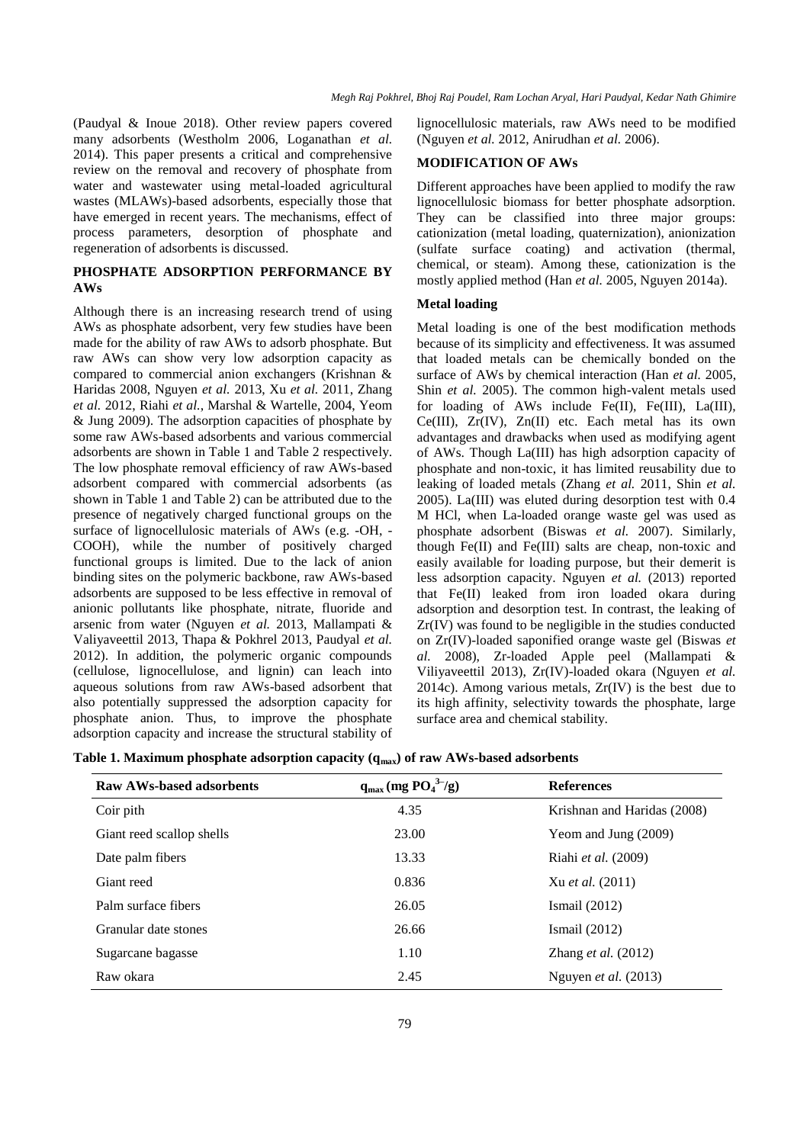(Paudyal & Inoue 2018). Other review papers covered many adsorbents (Westholm 2006, Loganathan *et al.*  2014). This paper presents a critical and comprehensive review on the removal and recovery of phosphate from water and wastewater using metal-loaded agricultural wastes (MLAWs)-based adsorbents, especially those that have emerged in recent years. The mechanisms, effect of process parameters, desorption of phosphate and regeneration of adsorbents is discussed.

# **PHOSPHATE ADSORPTION PERFORMANCE BY AWs**

Although there is an increasing research trend of using AWs as phosphate adsorbent, very few studies have been made for the ability of raw AWs to adsorb phosphate. But raw AWs can show very low adsorption capacity as compared to commercial anion exchangers (Krishnan & Haridas 2008, Nguyen *et al.* 2013, Xu *et al.* 2011, Zhang *et al.* 2012, Riahi *et al.*, Marshal & Wartelle, 2004, Yeom & Jung 2009). The adsorption capacities of phosphate by some raw AWs-based adsorbents and various commercial adsorbents are shown in Table 1 and Table 2 respectively. The low phosphate removal efficiency of raw AWs-based adsorbent compared with commercial adsorbents (as shown in Table 1 and Table 2) can be attributed due to the presence of negatively charged functional groups on the surface of lignocellulosic materials of AWs (e.g. -OH, - COOH), while the number of positively charged functional groups is limited. Due to the lack of anion binding sites on the polymeric backbone, raw AWs-based adsorbents are supposed to be less effective in removal of anionic pollutants like phosphate, nitrate, fluoride and arsenic from water (Nguyen *et al.* 2013, Mallampati & Valiyaveettil 2013, Thapa & Pokhrel 2013, Paudyal *et al.*  2012). In addition, the polymeric organic compounds (cellulose, lignocellulose, and lignin) can leach into aqueous solutions from raw AWs-based adsorbent that also potentially suppressed the adsorption capacity for phosphate anion. Thus, to improve the phosphate adsorption capacity and increase the structural stability of lignocellulosic materials, raw AWs need to be modified (Nguyen *et al.* 2012, Anirudhan *et al.* 2006).

# **MODIFICATION OF AWs**

Different approaches have been applied to modify the raw lignocellulosic biomass for better phosphate adsorption. They can be classified into three major groups: cationization (metal loading, quaternization), anionization (sulfate surface coating) and activation (thermal, chemical, or steam). Among these, cationization is the mostly applied method (Han *et al.* 2005, Nguyen 2014a).

### **Metal loading**

Metal loading is one of the best modification methods because of its simplicity and effectiveness. It was assumed that loaded metals can be chemically bonded on the surface of AWs by chemical interaction (Han *et al.* 2005, Shin *et al.* 2005). The common high-valent metals used for loading of AWs include Fe(II), Fe(III), La(III), Ce(III), Zr(IV), Zn(II) etc. Each metal has its own advantages and drawbacks when used as modifying agent of AWs. Though La(III) has high adsorption capacity of phosphate and non-toxic, it has limited reusability due to leaking of loaded metals (Zhang *et al.* 2011, Shin *et al.*  2005). La(III) was eluted during desorption test with 0.4 M HCl, when La-loaded orange waste gel was used as phosphate adsorbent (Biswas *et al.* 2007). Similarly, though Fe(II) and Fe(III) salts are cheap, non-toxic and easily available for loading purpose, but their demerit is less adsorption capacity. Nguyen *et al.* (2013) reported that Fe(II) leaked from iron loaded okara during adsorption and desorption test. In contrast, the leaking of Zr(IV) was found to be negligible in the studies conducted on Zr(IV)-loaded saponified orange waste gel (Biswas *et al.* 2008), Zr-loaded Apple peel (Mallampati & Viliyaveettil 2013), Zr(IV)-loaded okara (Nguyen *et al.* 2014c). Among various metals,  $Zr(IV)$  is the best due to its high affinity, selectivity towards the phosphate, large surface area and chemical stability.

|  | Table 1. Maximum phosphate adsorption capacity ( $q_{max}$ ) of raw AWs-based adsorbents |  |  |  |  |  |  |  |
|--|------------------------------------------------------------------------------------------|--|--|--|--|--|--|--|
|--|------------------------------------------------------------------------------------------|--|--|--|--|--|--|--|

| <b>Raw AWs-based adsorbents</b> | $q_{max}(mg PO43–/g)$ | <b>References</b>            |
|---------------------------------|-----------------------|------------------------------|
| Coir pith                       | 4.35                  | Krishnan and Haridas (2008)  |
| Giant reed scallop shells       | 23.00                 | Yeom and Jung (2009)         |
| Date palm fibers                | 13.33                 | Riahi et al. (2009)          |
| Giant reed                      | 0.836                 | Xu <i>et al.</i> (2011)      |
| Palm surface fibers             | 26.05                 | Ismail $(2012)$              |
| Granular date stones            | 26.66                 | Ismail $(2012)$              |
| Sugarcane bagasse               | 1.10                  | Zhang <i>et al.</i> $(2012)$ |
| Raw okara                       | 2.45                  | Nguyen et al. (2013)         |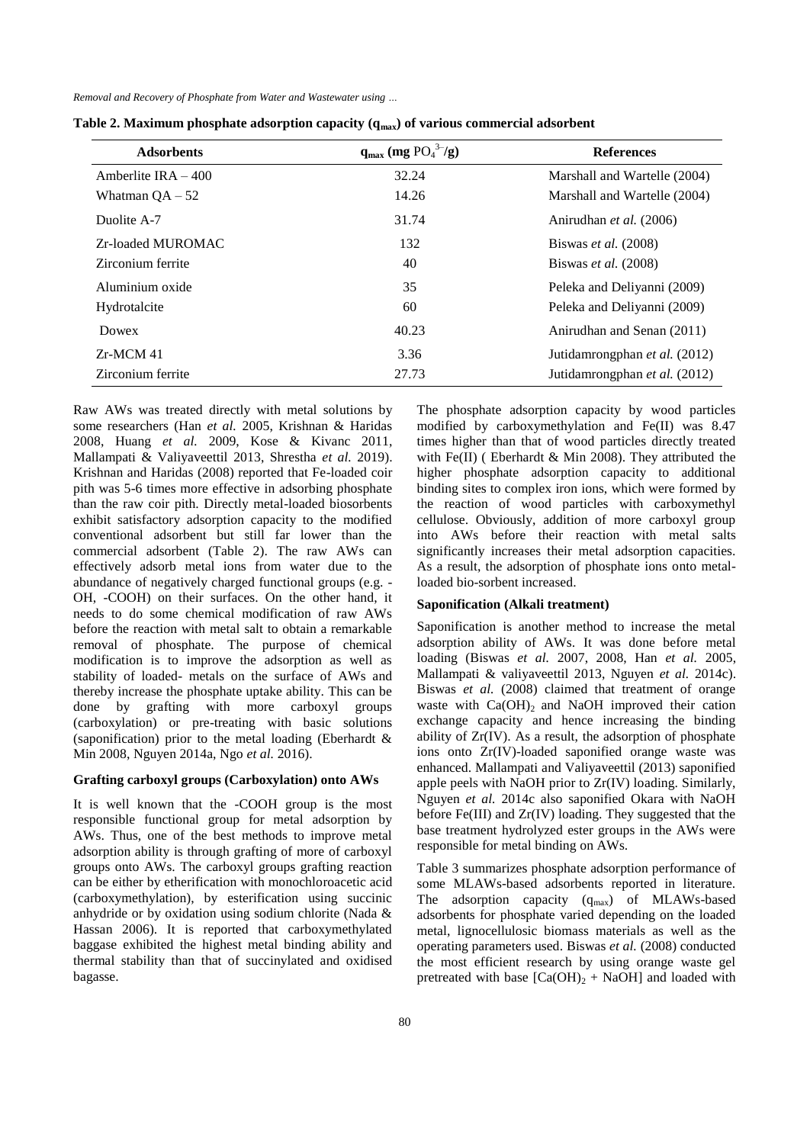| <b>Adsorbents</b>     | $q_{max}$ (mg PO <sub>4</sub> <sup>3–</sup> /g) | <b>References</b>             |
|-----------------------|-------------------------------------------------|-------------------------------|
| Amberlite $IRA - 400$ | 32.24                                           | Marshall and Wartelle (2004)  |
| Whatman $QA - 52$     | 14.26                                           | Marshall and Wartelle (2004)  |
| Duolite A-7           | 31.74                                           | Anirudhan et al. (2006)       |
| Zr-loaded MUROMAC     | 132                                             | Biswas et al. (2008)          |
| Zirconium ferrite     | 40                                              | Biswas et al. (2008)          |
| Aluminium oxide       | 35                                              | Peleka and Deliyanni (2009)   |
| Hydrotalcite          | 60                                              | Peleka and Deliyanni (2009)   |
| Dowex                 | 40.23                                           | Anirudhan and Senan (2011)    |
| $Zr-MCM$ 41           | 3.36                                            | Jutidamrongphan et al. (2012) |
| Zirconium ferrite     | 27.73                                           | Jutidamrongphan et al. (2012) |

| Table 2. Maximum phosphate adsorption capacity $(q_{max})$ of various commercial adsorbent |  |  |
|--------------------------------------------------------------------------------------------|--|--|
|--------------------------------------------------------------------------------------------|--|--|

Raw AWs was treated directly with metal solutions by some researchers (Han *et al.* 2005, Krishnan & Haridas 2008, Huang *et al.* 2009, Kose & Kivanc 2011, Mallampati & Valiyaveettil 2013, Shrestha *et al.* 2019). Krishnan and Haridas (2008) reported that Fe-loaded coir pith was 5-6 times more effective in adsorbing phosphate than the raw coir pith. Directly metal-loaded biosorbents exhibit satisfactory adsorption capacity to the modified conventional adsorbent but still far lower than the commercial adsorbent (Table 2). The raw AWs can effectively adsorb metal ions from water due to the abundance of negatively charged functional groups (e.g. - OH, -COOH) on their surfaces. On the other hand, it needs to do some chemical modification of raw AWs before the reaction with metal salt to obtain a remarkable removal of phosphate. The purpose of chemical modification is to improve the adsorption as well as stability of loaded- metals on the surface of AWs and thereby increase the phosphate uptake ability. This can be done by grafting with more carboxyl groups (carboxylation) or pre-treating with basic solutions (saponification) prior to the metal loading (Eberhardt & Min 2008, Nguyen 2014a, Ngo *et al.* 2016).

# **Grafting carboxyl groups (Carboxylation) onto AWs**

It is well known that the -COOH group is the most responsible functional group for metal adsorption by AWs. Thus, one of the best methods to improve metal adsorption ability is through grafting of more of carboxyl groups onto AWs. The carboxyl groups grafting reaction can be either by etherification with monochloroacetic acid (carboxymethylation), by esterification using succinic anhydride or by oxidation using sodium chlorite (Nada & Hassan 2006). It is reported that carboxymethylated baggase exhibited the highest metal binding ability and thermal stability than that of succinylated and oxidised bagasse.

The phosphate adsorption capacity by wood particles modified by carboxymethylation and Fe(II) was 8.47 times higher than that of wood particles directly treated with Fe(II) (Eberhardt & Min 2008). They attributed the higher phosphate adsorption capacity to additional binding sites to complex iron ions, which were formed by the reaction of wood particles with carboxymethyl cellulose. Obviously, addition of more carboxyl group into AWs before their reaction with metal salts significantly increases their metal adsorption capacities. As a result, the adsorption of phosphate ions onto metalloaded bio-sorbent increased.

### **Saponification (Alkali treatment)**

Saponification is another method to increase the metal adsorption ability of AWs. It was done before metal loading (Biswas *et al.* 2007, 2008, Han *et al.* 2005, Mallampati & valiyaveettil 2013, Nguyen *et al.* 2014c). Biswas *et al.* (2008) claimed that treatment of orange waste with  $Ca(OH)_{2}$  and NaOH improved their cation exchange capacity and hence increasing the binding ability of  $Zr(IV)$ . As a result, the adsorption of phosphate ions onto Zr(IV)-loaded saponified orange waste was enhanced. Mallampati and Valiyaveettil (2013) saponified apple peels with NaOH prior to Zr(IV) loading. Similarly, Nguyen *et al.* 2014c also saponified Okara with NaOH before Fe(III) and Zr(IV) loading. They suggested that the base treatment hydrolyzed ester groups in the AWs were responsible for metal binding on AWs.

Table 3 summarizes phosphate adsorption performance of some MLAWs-based adsorbents reported in literature. The adsorption capacity  $(q_{max})$  of MLAWs-based adsorbents for phosphate varied depending on the loaded metal, lignocellulosic biomass materials as well as the operating parameters used. Biswas *et al.* (2008) conducted the most efficient research by using orange waste gel pretreated with base  $[Ca(OH)<sub>2</sub> + NaOH]$  and loaded with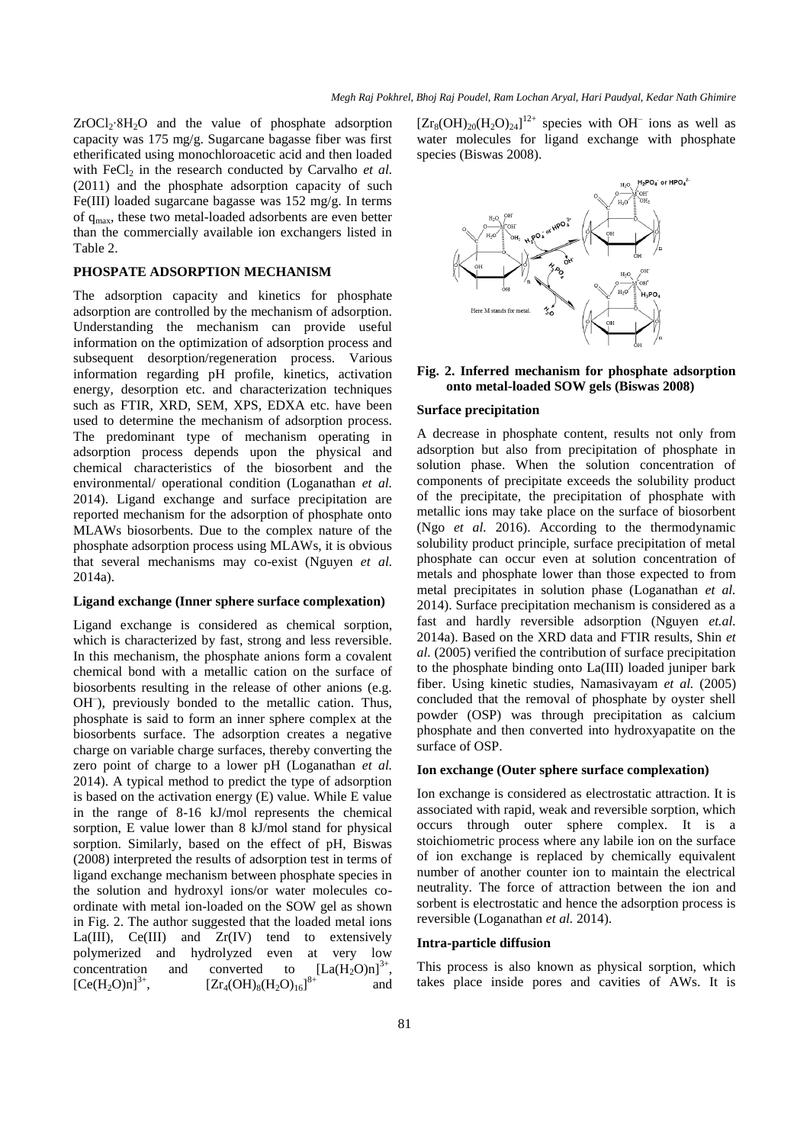ZrOCl2∙8H2O and the value of phosphate adsorption capacity was 175 mg/g. Sugarcane bagasse fiber was first etherificated using monochloroacetic acid and then loaded with FeCl<sub>2</sub> in the research conducted by Carvalho *et al.* (2011) and the phosphate adsorption capacity of such Fe(III) loaded sugarcane bagasse was 152 mg/g. In terms of qmax, these two metal-loaded adsorbents are even better than the commercially available ion exchangers listed in Table 2.

# **PHOSPATE ADSORPTION MECHANISM**

The adsorption capacity and kinetics for phosphate adsorption are controlled by the mechanism of adsorption. Understanding the mechanism can provide useful information on the optimization of adsorption process and subsequent desorption/regeneration process. Various information regarding pH profile, kinetics, activation energy, desorption etc. and characterization techniques such as FTIR, XRD, SEM, XPS, EDXA etc. have been used to determine the mechanism of adsorption process. The predominant type of mechanism operating in adsorption process depends upon the physical and chemical characteristics of the biosorbent and the environmental/ operational condition (Loganathan *et al.*  2014). Ligand exchange and surface precipitation are reported mechanism for the adsorption of phosphate onto MLAWs biosorbents. Due to the complex nature of the phosphate adsorption process using MLAWs, it is obvious that several mechanisms may co-exist (Nguyen *et al.*  2014a).

#### **Ligand exchange (Inner sphere surface complexation)**

Ligand exchange is considered as chemical sorption, which is characterized by fast, strong and less reversible. In this mechanism, the phosphate anions form a covalent chemical bond with a metallic cation on the surface of biosorbents resulting in the release of other anions (e.g. OH<sup>-</sup>), previously bonded to the metallic cation. Thus, phosphate is said to form an inner sphere complex at the biosorbents surface. The adsorption creates a negative charge on variable charge surfaces, thereby converting the zero point of charge to a lower pH (Loganathan *et al.* 2014). A typical method to predict the type of adsorption is based on the activation energy (E) value. While E value in the range of 8-16 kJ/mol represents the chemical sorption, E value lower than 8 kJ/mol stand for physical sorption. Similarly, based on the effect of pH, Biswas (2008) interpreted the results of adsorption test in terms of ligand exchange mechanism between phosphate species in the solution and hydroxyl ions/or water molecules coordinate with metal ion-loaded on the SOW gel as shown in Fig. 2. The author suggested that the loaded metal ions La(III),  $Ce(III)$  and  $Zr(IV)$  tend to extensively polymerized and hydrolyzed even at very low concentration and converted to  $[La(H_2O)n]^{3+}$ ,  ${[Ce(H<sub>2</sub>O)n]}^{3+}$ ,  ${[Zr<sub>4</sub>(OH)<sub>8</sub>(H<sub>2</sub>O)<sub>16</sub>]}^{8+}$ and

 $[Zr_8(OH)_{20}(H_2O)_{24}]^{12+}$  species with OH<sup>-</sup> ions as well as water molecules for ligand exchange with phosphate species (Biswas 2008).



# **Fig. 2. Inferred mechanism for phosphate adsorption onto metal-loaded SOW gels (Biswas 2008)**

#### **Surface precipitation**

A decrease in phosphate content, results not only from adsorption but also from precipitation of phosphate in solution phase. When the solution concentration of components of precipitate exceeds the solubility product of the precipitate, the precipitation of phosphate with metallic ions may take place on the surface of biosorbent (Ngo *et al.* 2016). According to the thermodynamic solubility product principle, surface precipitation of metal phosphate can occur even at solution concentration of metals and phosphate lower than those expected to from metal precipitates in solution phase (Loganathan *et al.*  2014). Surface precipitation mechanism is considered as a fast and hardly reversible adsorption (Nguyen *et.al.*  2014a). Based on the XRD data and FTIR results, Shin *et al.* (2005) verified the contribution of surface precipitation to the phosphate binding onto La(III) loaded juniper bark fiber. Using kinetic studies, Namasivayam *et al.* (2005) concluded that the removal of phosphate by oyster shell powder (OSP) was through precipitation as calcium phosphate and then converted into hydroxyapatite on the surface of OSP.

# **Ion exchange (Outer sphere surface complexation)**

Ion exchange is considered as electrostatic attraction. It is associated with rapid, weak and reversible sorption, which occurs through outer sphere complex. It is a stoichiometric process where any labile ion on the surface of ion exchange is replaced by chemically equivalent number of another counter ion to maintain the electrical neutrality. The force of attraction between the ion and sorbent is electrostatic and hence the adsorption process is reversible (Loganathan *et al.* 2014).

#### **Intra-particle diffusion**

This process is also known as physical sorption, which takes place inside pores and cavities of AWs. It is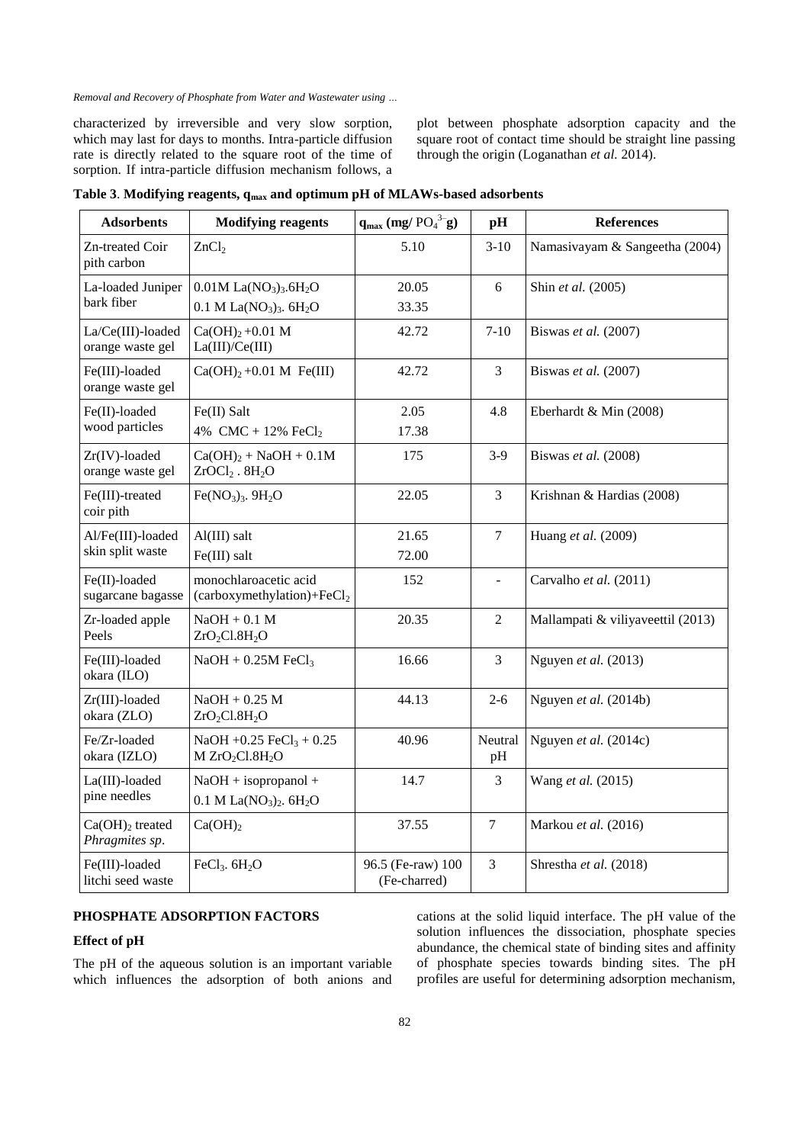characterized by irreversible and very slow sorption, which may last for days to months. Intra-particle diffusion rate is directly related to the square root of the time of sorption. If intra-particle diffusion mechanism follows, a plot between phosphate adsorption capacity and the square root of contact time should be straight line passing through the origin (Loganathan *et al.* 2014).

| <b>Adsorbents</b>                     | <b>Modifying reagents</b>                                                      | $q_{max}$ (mg/ $PO_4^{3-}g$ )     | pH                       | <b>References</b>                 |
|---------------------------------------|--------------------------------------------------------------------------------|-----------------------------------|--------------------------|-----------------------------------|
| Zn-treated Coir<br>pith carbon        | ZnCl <sub>2</sub>                                                              | 5.10                              | $3-10$                   | Namasiyayam & Sangeetha (2004)    |
| La-loaded Juniper                     | $0.01M$ La(NO <sub>3</sub> ) <sub>3</sub> .6H <sub>2</sub> O                   | 20.05                             | 6                        | Shin et al. (2005)                |
| bark fiber                            | 0.1 M La(NO <sub>3</sub> ) <sub>3</sub> . 6H <sub>2</sub> O                    | 33.35                             |                          |                                   |
| La/Ce(III)-loaded<br>orange waste gel | $Ca(OH)2+0.01 M$<br>La(III)/Ce(III)                                            | 42.72                             | $7-10$                   | Biswas et al. (2007)              |
| Fe(III)-loaded<br>orange waste gel    | $Ca(OH)2+0.01 M Fe(III)$                                                       | 42.72                             | 3                        | Biswas et al. (2007)              |
| Fe(II)-loaded                         | Fe(II) Salt                                                                    | 2.05                              | 4.8                      | Eberhardt & Min (2008)            |
| wood particles                        | 4% CMC + $12\%$ FeCl <sub>2</sub>                                              | 17.38                             |                          |                                   |
| Zr(IV)-loaded<br>orange waste gel     | $Ca(OH)2 + NaOH + 0.1M$<br>$ZrOCl2$ . $8H2O$                                   | 175                               | $3-9$                    | Biswas et al. (2008)              |
| Fe(III)-treated<br>coir pith          | Fe(NO <sub>3</sub> ) <sub>3</sub> . 9H <sub>2</sub> O                          | 22.05                             | 3                        | Krishnan & Hardias (2008)         |
| Al/Fe(III)-loaded                     | $Al(III)$ salt                                                                 | 21.65                             | $\overline{7}$           | Huang et al. (2009)               |
| skin split waste                      | Fe(III) salt                                                                   | 72.00                             |                          |                                   |
| Fe(II)-loaded<br>sugarcane bagasse    | monochlaroacetic acid<br>(carboxymethylation)+FeCl2                            | 152                               | $\overline{\phantom{a}}$ | Carvalho et al. (2011)            |
| Zr-loaded apple<br>Peels              | $NaOH + 0.1 M$<br>ZrO <sub>2</sub> Cl.8H <sub>2</sub> O                        | 20.35                             | $\overline{2}$           | Mallampati & viliyaveettil (2013) |
| Fe(III)-loaded<br>okara (ILO)         | $NaOH + 0.25M FeCl3$                                                           | 16.66                             | 3                        | Nguyen et al. (2013)              |
| Zr(III)-loaded<br>okara (ZLO)         | $NaOH + 0.25 M$<br>$ZrO_2Cl.8H_2O$                                             | 44.13                             | $2 - 6$                  | Nguyen et al. (2014b)             |
| Fe/Zr-loaded<br>okara (IZLO)          | NaOH +0.25 FeCl <sub>3</sub> + 0.25<br>M ZrO <sub>2</sub> Cl.8H <sub>2</sub> O | 40.96                             | Neutral<br>pH            | Nguyen et al. (2014c)             |
| La(III)-loaded<br>pine needles        | $NaOH + isopropanol +$<br>$0.1 M La(NO3)2$ . 6H <sub>2</sub> O                 | 14.7                              | 3                        | Wang et al. (2015)                |
|                                       |                                                                                |                                   |                          |                                   |
| $Ca(OH)2$ treated<br>Phragmites sp.   | Ca(OH) <sub>2</sub>                                                            | 37.55                             | $\tau$                   | Markou et al. (2016)              |
| Fe(III)-loaded<br>litchi seed waste   | FeCl <sub>3</sub> . $6H_2O$                                                    | 96.5 (Fe-raw) 100<br>(Fe-charred) | 3                        | Shrestha et al. (2018)            |

| Table 3. Modifying reagents, $q_{max}$ and optimum pH of MLAWs-based adsorbents |  |  |
|---------------------------------------------------------------------------------|--|--|
|---------------------------------------------------------------------------------|--|--|

# **PHOSPHATE ADSORPTION FACTORS**

### **Effect of pH**

The pH of the aqueous solution is an important variable which influences the adsorption of both anions and cations at the solid liquid interface. The pH value of the solution influences the dissociation, phosphate species abundance, the chemical state of binding sites and affinity of phosphate species towards binding sites. The pH profiles are useful for determining adsorption mechanism,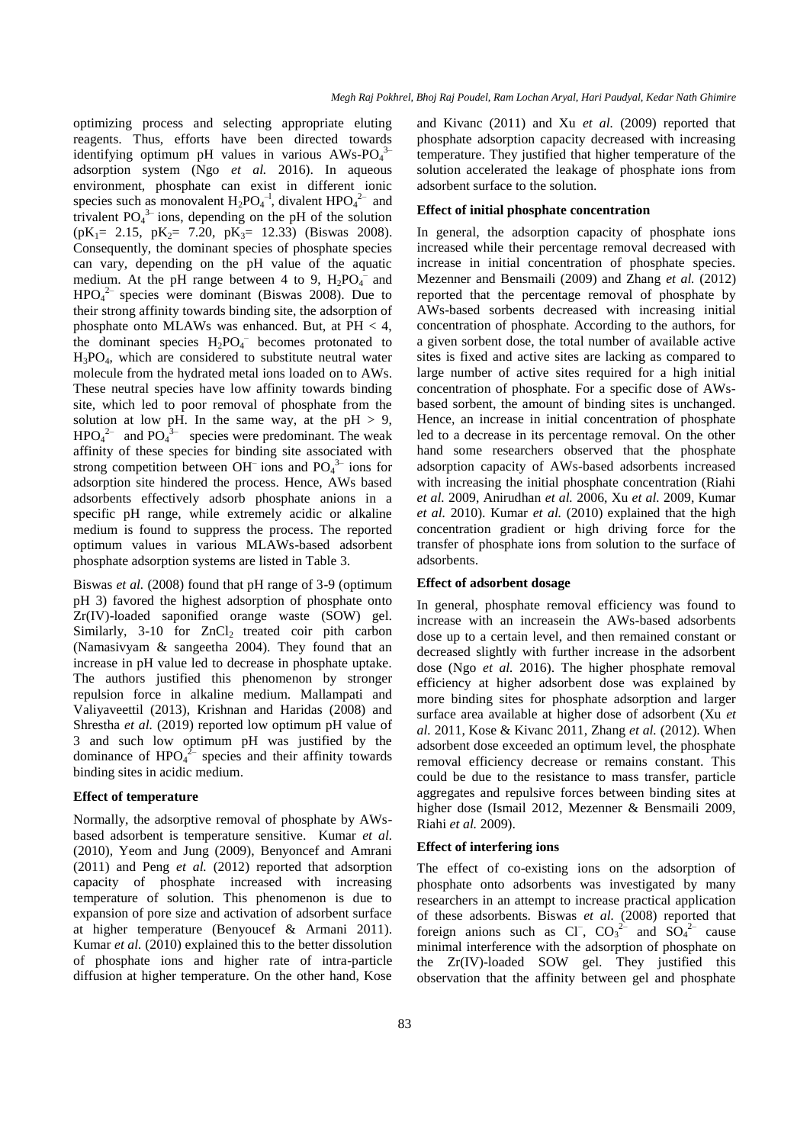optimizing process and selecting appropriate eluting reagents. Thus, efforts have been directed towards identifying optimum pH values in various  $AWs-PO<sub>4</sub><sup>3</sup>$ adsorption system (Ngo *et al.* 2016). In aqueous environment, phosphate can exist in different ionic species such as monovalent  $H_2PO_4^{-1}$ , divalent  $HPO_4^{2-}$  and trivalent  $PO_4^{3-}$  ions, depending on the pH of the solution  $(pK_1 = 2.15, pK_2 = 7.20, pK_3 = 12.33)$  (Biswas 2008). Consequently, the dominant species of phosphate species can vary, depending on the pH value of the aquatic medium. At the pH range between 4 to 9,  $H_2PO_4^-$  and  $HPO<sub>4</sub><sup>2-</sup>$  species were dominant (Biswas 2008). Due to their strong affinity towards binding site, the adsorption of phosphate onto MLAWs was enhanced. But, at PH < 4, the dominant species  $H_2PO_4^-$  becomes protonated to H3PO4, which are considered to substitute neutral water molecule from the hydrated metal ions loaded on to AWs. These neutral species have low affinity towards binding site, which led to poor removal of phosphate from the solution at low pH. In the same way, at the  $pH > 9$ ,  $HPO<sub>4</sub><sup>2-</sup>$  and  $PO<sub>4</sub><sup>3-</sup>$  species were predominant. The weak affinity of these species for binding site associated with strong competition between OH<sup>-</sup> ions and  $PO<sub>4</sub><sup>3-</sup>$  ions for adsorption site hindered the process. Hence, AWs based adsorbents effectively adsorb phosphate anions in a specific pH range, while extremely acidic or alkaline medium is found to suppress the process. The reported optimum values in various MLAWs-based adsorbent phosphate adsorption systems are listed in Table 3.

Biswas *et al.* (2008) found that pH range of 3-9 (optimum pH 3) favored the highest adsorption of phosphate onto Zr(IV)-loaded saponified orange waste (SOW) gel. Similarly,  $3-10$  for  $ZnCl<sub>2</sub>$  treated coir pith carbon (Namasivyam & sangeetha 2004). They found that an increase in pH value led to decrease in phosphate uptake. The authors justified this phenomenon by stronger repulsion force in alkaline medium. Mallampati and Valiyaveettil (2013), Krishnan and Haridas (2008) and Shrestha *et al.* (2019) reported low optimum pH value of 3 and such low optimum pH was justified by the dominance of  $HPO<sub>4</sub><sup>2</sup>$  species and their affinity towards binding sites in acidic medium.

### **Effect of temperature**

Normally, the adsorptive removal of phosphate by AWsbased adsorbent is temperature sensitive. Kumar *et al.*  (2010), Yeom and Jung (2009), Benyoncef and Amrani (2011) and Peng *et al.* (2012) reported that adsorption capacity of phosphate increased with increasing temperature of solution. This phenomenon is due to expansion of pore size and activation of adsorbent surface at higher temperature (Benyoucef & Armani 2011). Kumar *et al.* (2010) explained this to the better dissolution of phosphate ions and higher rate of intra-particle diffusion at higher temperature. On the other hand, Kose

and Kivanc (2011) and Xu *et al.* (2009) reported that phosphate adsorption capacity decreased with increasing temperature. They justified that higher temperature of the solution accelerated the leakage of phosphate ions from adsorbent surface to the solution.

# **Effect of initial phosphate concentration**

In general, the adsorption capacity of phosphate ions increased while their percentage removal decreased with increase in initial concentration of phosphate species. Mezenner and Bensmaili (2009) and Zhang *et al.* (2012) reported that the percentage removal of phosphate by AWs-based sorbents decreased with increasing initial concentration of phosphate. According to the authors, for a given sorbent dose, the total number of available active sites is fixed and active sites are lacking as compared to large number of active sites required for a high initial concentration of phosphate. For a specific dose of AWsbased sorbent, the amount of binding sites is unchanged. Hence, an increase in initial concentration of phosphate led to a decrease in its percentage removal. On the other hand some researchers observed that the phosphate adsorption capacity of AWs-based adsorbents increased with increasing the initial phosphate concentration (Riahi *et al.* 2009, Anirudhan *et al.* 2006, Xu *et al.* 2009, Kumar *et al.* 2010). Kumar *et al.* (2010) explained that the high concentration gradient or high driving force for the transfer of phosphate ions from solution to the surface of adsorbents.

#### **Effect of adsorbent dosage**

In general, phosphate removal efficiency was found to increase with an increasein the AWs-based adsorbents dose up to a certain level, and then remained constant or decreased slightly with further increase in the adsorbent dose (Ngo *et al.* 2016). The higher phosphate removal efficiency at higher adsorbent dose was explained by more binding sites for phosphate adsorption and larger surface area available at higher dose of adsorbent (Xu *et al.* 2011, Kose & Kivanc 2011, Zhang *et al.* (2012). When adsorbent dose exceeded an optimum level, the phosphate removal efficiency decrease or remains constant. This could be due to the resistance to mass transfer, particle aggregates and repulsive forces between binding sites at higher dose (Ismail 2012, Mezenner & Bensmaili 2009, Riahi *et al.* 2009).

#### **Effect of interfering ions**

The effect of co-existing ions on the adsorption of phosphate onto adsorbents was investigated by many researchers in an attempt to increase practical application of these adsorbents. Biswas *et al.* (2008) reported that foreign anions such as Cl<sup>-</sup>, CO<sub>3</sub><sup>2-</sup> and SO<sub>4</sub><sup>2-</sup> cause minimal interference with the adsorption of phosphate on the Zr(IV)-loaded SOW gel. They justified this observation that the affinity between gel and phosphate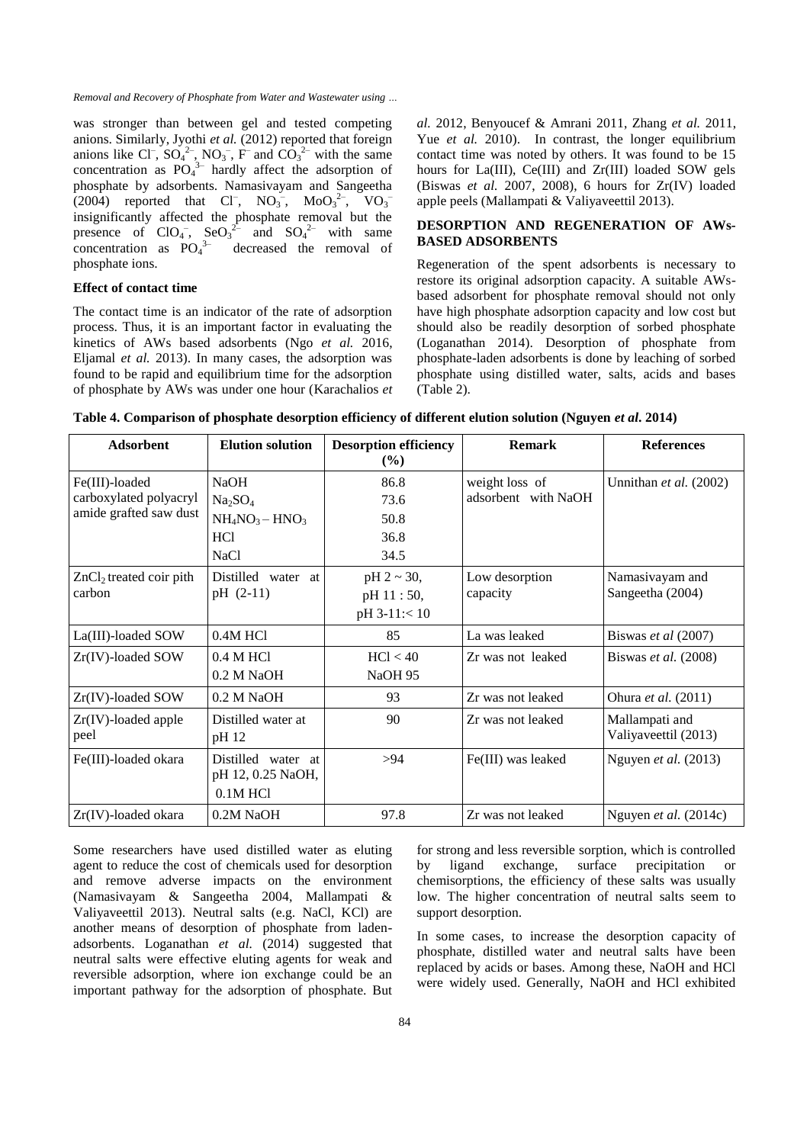was stronger than between gel and tested competing anions. Similarly, Jyothi *et al.* (2012) reported that foreign anions like Cl<sup>-</sup>,  $SO_4^2$ <sup>-</sup>,  $NO_3^-$ , F<sup>-</sup> and  $CO_3^2$ <sup>-</sup> with the same concentration as  $PO_4^{3-}$  hardly affect the adsorption of phosphate by adsorbents. Namasivayam and Sangeetha (2004) reported that Cl<sup>-</sup>, NO<sub>3</sub><sup>-</sup>, MoO<sub>3</sub><sup>2-</sup>, VO<sub>3</sub><sup>-</sup> insignificantly affected the phosphate removal but the presence of  $ClO_4^-$ ,  $SeO_3^{2^-}$  and  $SO_4^{2^-}$  with same concentration as  $PO<sub>4</sub><sup>3–</sup>$  decreased the removal of phosphate ions.

### **Effect of contact time**

The contact time is an indicator of the rate of adsorption process. Thus, it is an important factor in evaluating the kinetics of AWs based adsorbents (Ngo *et al.* 2016, Eljamal *et al.* 2013). In many cases, the adsorption was found to be rapid and equilibrium time for the adsorption of phosphate by AWs was under one hour (Karachalios *et*  *al.* 2012, Benyoucef & Amrani 2011, Zhang *et al.* 2011, Yue *et al.* 2010). In contrast, the longer equilibrium contact time was noted by others. It was found to be 15 hours for La(III), Ce(III) and Zr(III) loaded SOW gels (Biswas *et al.* 2007, 2008), 6 hours for Zr(IV) loaded apple peels (Mallampati & Valiyaveettil 2013).

# **DESORPTION AND REGENERATION OF AWs-BASED ADSORBENTS**

Regeneration of the spent adsorbents is necessary to restore its original adsorption capacity. A suitable AWsbased adsorbent for phosphate removal should not only have high phosphate adsorption capacity and low cost but should also be readily desorption of sorbed phosphate (Loganathan 2014). Desorption of phosphate from phosphate-laden adsorbents is done by leaching of sorbed phosphate using distilled water, salts, acids and bases (Table 2).

|  |  | Table 4. Comparison of phosphate desorption efficiency of different elution solution (Nguyen et al. 2014) |  |
|--|--|-----------------------------------------------------------------------------------------------------------|--|
|  |  |                                                                                                           |  |

| <b>Adsorbent</b>          | <b>Elution solution</b>         | <b>Desorption efficiency</b><br>$(\%)$ | <b>Remark</b>       | <b>References</b>      |
|---------------------------|---------------------------------|----------------------------------------|---------------------|------------------------|
| Fe(III)-loaded            | <b>NaOH</b>                     | 86.8                                   | weight loss of      | Unnithan et al. (2002) |
| carboxylated polyacryl    | Na <sub>2</sub> SO <sub>4</sub> | 73.6                                   | adsorbent with NaOH |                        |
| amide grafted saw dust    | $NH_4NO_3-HNO_3$                | 50.8                                   |                     |                        |
|                           | HC <sub>1</sub>                 | 36.8                                   |                     |                        |
|                           | <b>NaCl</b>                     | 34.5                                   |                     |                        |
| $ZnCl2$ treated coir pith | Distilled water<br>-at          | $pH$ 2 ~ 30,                           | Low desorption      | Namasivayam and        |
| carbon                    | $pH (2-11)$                     | pH 11:50,                              | capacity            | Sangeetha (2004)       |
|                           |                                 | pH 3-11:<10                            |                     |                        |
| La(III)-loaded SOW        | $0.4M$ HCl                      | 85                                     | La was leaked       | Biswas et al (2007)    |
| Zr(IV)-loaded SOW         | $0.4$ M HCl                     | HC1 < 40                               | Zr was not leaked   | Biswas et al. (2008)   |
|                           | 0.2 M NaOH                      | NaOH 95                                |                     |                        |
| Zr(IV)-loaded SOW         | 0.2 M NaOH                      | 93                                     | Zr was not leaked   | Ohura et al. (2011)    |
| $Zr(IV)$ -loaded apple    | Distilled water at              | 90                                     | Zr was not leaked   | Mallampati and         |
| peel                      | pH 12                           |                                        |                     | Valiyaveettil (2013)   |
| Fe(III)-loaded okara      | Distilled water at              | >94                                    | Fe(III) was leaked  | Nguyen et al. $(2013)$ |
|                           | pH 12, 0.25 NaOH,               |                                        |                     |                        |
|                           | $0.1M$ HCl                      |                                        |                     |                        |
| Zr(IV)-loaded okara       | 0.2M NaOH                       | 97.8                                   | Zr was not leaked   | Nguyen et al. (2014c)  |

Some researchers have used distilled water as eluting agent to reduce the cost of chemicals used for desorption and remove adverse impacts on the environment (Namasivayam & Sangeetha 2004, Mallampati & Valiyaveettil 2013). Neutral salts (e.g. NaCl, KCl) are another means of desorption of phosphate from ladenadsorbents. Loganathan *et al.* (2014) suggested that neutral salts were effective eluting agents for weak and reversible adsorption, where ion exchange could be an important pathway for the adsorption of phosphate. But for strong and less reversible sorption, which is controlled by ligand exchange, surface precipitation or chemisorptions, the efficiency of these salts was usually low. The higher concentration of neutral salts seem to support desorption.

In some cases, to increase the desorption capacity of phosphate, distilled water and neutral salts have been replaced by acids or bases. Among these, NaOH and HCl were widely used. Generally, NaOH and HCl exhibited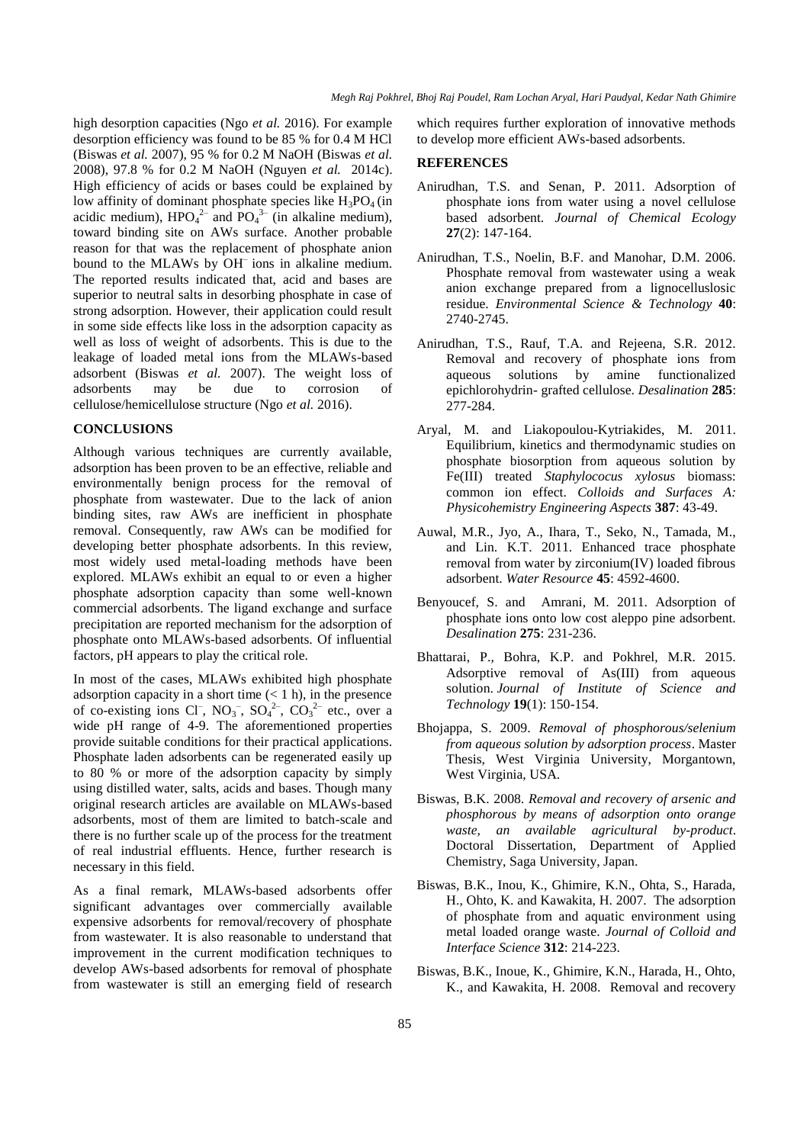high desorption capacities (Ngo *et al.* 2016). For example desorption efficiency was found to be 85 % for 0.4 M HCl (Biswas *et al.* 2007), 95 % for 0.2 M NaOH (Biswas *et al.* 2008), 97.8 % for 0.2 M NaOH (Nguyen *et al.* 2014c). High efficiency of acids or bases could be explained by low affinity of dominant phosphate species like  $H_3PO_4$  (in acidic medium),  $HPO_4^{2-}$  and  $PO_4^{3-}$  (in alkaline medium), toward binding site on AWs surface. Another probable reason for that was the replacement of phosphate anion bound to the MLAWs by OH ions in alkaline medium. The reported results indicated that, acid and bases are superior to neutral salts in desorbing phosphate in case of strong adsorption. However, their application could result in some side effects like loss in the adsorption capacity as well as loss of weight of adsorbents. This is due to the leakage of loaded metal ions from the MLAWs-based adsorbent (Biswas *et al.* 2007). The weight loss of adsorbents may be due to corrosion of cellulose/hemicellulose structure (Ngo *et al.* 2016).

# **CONCLUSIONS**

Although various techniques are currently available, adsorption has been proven to be an effective, reliable and environmentally benign process for the removal of phosphate from wastewater. Due to the lack of anion binding sites, raw AWs are inefficient in phosphate removal. Consequently, raw AWs can be modified for developing better phosphate adsorbents. In this review, most widely used metal-loading methods have been explored. MLAWs exhibit an equal to or even a higher phosphate adsorption capacity than some well-known commercial adsorbents. The ligand exchange and surface precipitation are reported mechanism for the adsorption of phosphate onto MLAWs-based adsorbents. Of influential factors, pH appears to play the critical role.

In most of the cases, MLAWs exhibited high phosphate adsorption capacity in a short time  $(< 1 h)$ , in the presence of co-existing ions Cl<sup>-</sup>,  $NO_3^-$ ,  $SO_4^2^-$ ,  $CO_3^2^-$  etc., over a wide pH range of 4-9. The aforementioned properties provide suitable conditions for their practical applications. Phosphate laden adsorbents can be regenerated easily up to 80 % or more of the adsorption capacity by simply using distilled water, salts, acids and bases. Though many original research articles are available on MLAWs-based adsorbents, most of them are limited to batch-scale and there is no further scale up of the process for the treatment of real industrial effluents. Hence, further research is necessary in this field.

As a final remark, MLAWs-based adsorbents offer significant advantages over commercially available expensive adsorbents for removal/recovery of phosphate from wastewater. It is also reasonable to understand that improvement in the current modification techniques to develop AWs-based adsorbents for removal of phosphate from wastewater is still an emerging field of research

which requires further exploration of innovative methods to develop more efficient AWs-based adsorbents.

#### **REFERENCES**

- Anirudhan, T.S. and Senan, P. 2011. Adsorption of phosphate ions from water using a novel cellulose based adsorbent. *Journal of Chemical Ecology* **27**(2): 147-164.
- Anirudhan, T.S., Noelin, B.F. and Manohar, D.M. 2006. Phosphate removal from wastewater using a weak anion exchange prepared from a lignocelluslosic residue. *Environmental Science & Technology* **40**: 2740-2745.
- Anirudhan, T.S., Rauf, T.A. and Rejeena, S.R. 2012. Removal and recovery of phosphate ions from aqueous solutions by amine functionalized epichlorohydrin- grafted cellulose. *Desalination* **285**: 277-284.
- Aryal, M. and Liakopoulou-Kytriakides, M. 2011. Equilibrium, kinetics and thermodynamic studies on phosphate biosorption from aqueous solution by Fe(III) treated *Staphylococus xylosus* biomass: common ion effect. *Colloids and Surfaces A: Physicohemistry Engineering Aspects* **387**: 43-49.
- Auwal, M.R., Jyo, A., Ihara, T., Seko, N., Tamada, M., and Lin. K.T. 2011. Enhanced trace phosphate removal from water by zirconium(IV) loaded fibrous adsorbent. *Water Resource* **45**: 4592-4600.
- Benyoucef, S. and Amrani, M. 2011. Adsorption of phosphate ions onto low cost aleppo pine adsorbent. *Desalination* **275**: 231-236.
- Bhattarai, P., Bohra, K.P. and Pokhrel, M.R. 2015. Adsorptive removal of As(III) from aqueous solution. *Journal of Institute of Science and Technology* **19**(1): 150-154.
- Bhojappa, S. 2009. *Removal of phosphorous/selenium from aqueous solution by adsorption process*. Master Thesis, West Virginia University, Morgantown, West Virginia, USA.
- Biswas, B.K. 2008. *Removal and recovery of arsenic and phosphorous by means of adsorption onto orange waste, an available agricultural by-product*. Doctoral Dissertation, Department of Applied Chemistry, Saga University, Japan.
- Biswas, B.K., Inou, K., Ghimire, K.N., Ohta, S., Harada, H., Ohto, K. and Kawakita, H. 2007. The adsorption of phosphate from and aquatic environment using metal loaded orange waste. *Journal of Colloid and Interface Science* **312**: 214-223.
- Biswas, B.K., Inoue, K., Ghimire, K.N., Harada, H., Ohto, K., and Kawakita, H. 2008. Removal and recovery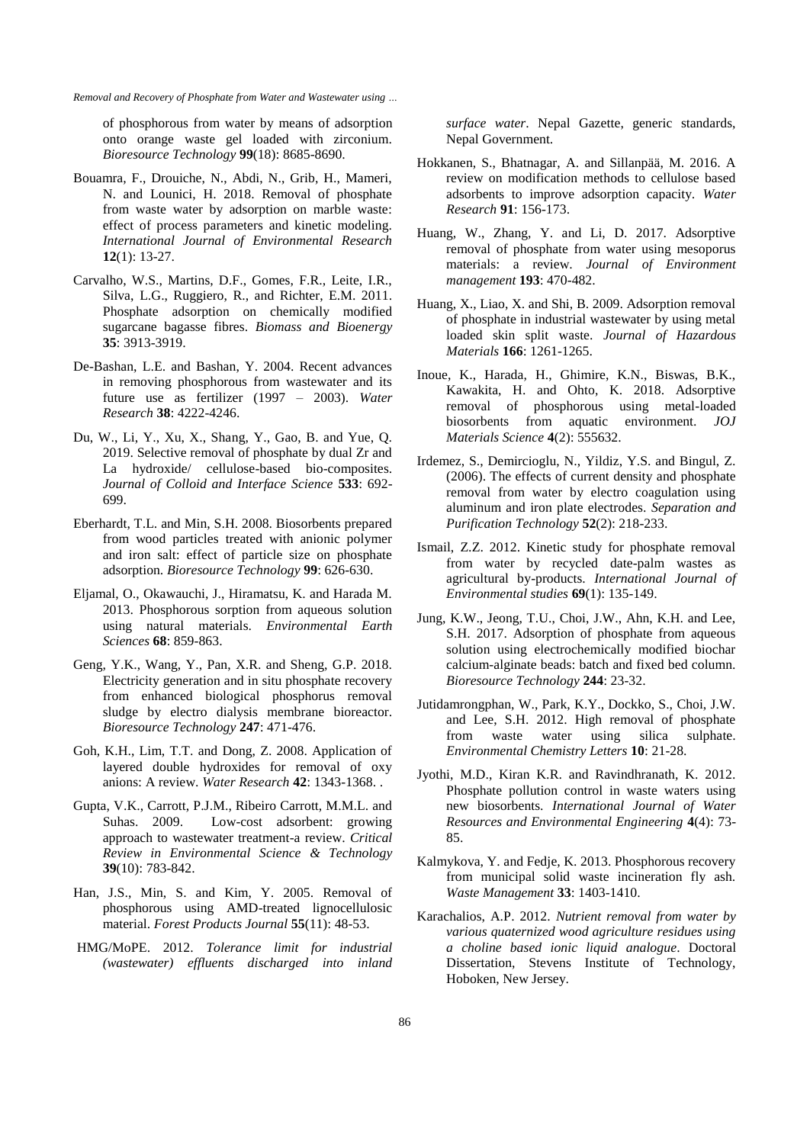of phosphorous from water by means of adsorption onto orange waste gel loaded with zirconium. *Bioresource Technology* **99**(18): 8685-8690.

- Bouamra, F., Drouiche, N., Abdi, N., Grib, H., Mameri, N. and Lounici, H. 2018. Removal of phosphate from waste water by adsorption on marble waste: effect of process parameters and kinetic modeling. *International Journal of Environmental Research* **12**(1): 13-27.
- Carvalho, W.S., Martins, D.F., Gomes, F.R., Leite, I.R., Silva, L.G., Ruggiero, R., and Richter, E.M. 2011. Phosphate adsorption on chemically modified sugarcane bagasse fibres. *Biomass and Bioenergy* **35**: 3913-3919.
- De-Bashan, L.E. and Bashan, Y. 2004. Recent advances in removing phosphorous from wastewater and its future use as fertilizer (1997 – 2003). *Water Research* **38**: 4222-4246.
- Du, W., Li, Y., Xu, X., Shang, Y., Gao, B. and Yue, Q. 2019. Selective removal of phosphate by dual Zr and La hydroxide/ cellulose-based bio-composites. *Journal of Colloid and Interface Science* **533**: 692- 699.
- Eberhardt, T.L. and Min, S.H. 2008. Biosorbents prepared from wood particles treated with anionic polymer and iron salt: effect of particle size on phosphate adsorption. *Bioresource Technology* **99**: 626-630.
- Eljamal, O., Okawauchi, J., Hiramatsu, K. and Harada M. 2013. Phosphorous sorption from aqueous solution using natural materials. *Environmental Earth Sciences* **68**: 859-863.
- Geng, Y.K., Wang, Y., Pan, X.R. and Sheng, G.P. 2018. Electricity generation and in situ phosphate recovery from enhanced biological phosphorus removal sludge by electro dialysis membrane bioreactor. *Bioresource Technology* **247**: 471-476.
- Goh, K.H., Lim, T.T. and Dong, Z. 2008. Application of layered double hydroxides for removal of oxy anions: A review. *Water Research* **42**: 1343-1368. .
- Gupta, V.K., Carrott, P.J.M., Ribeiro Carrott, M.M.L. and Suhas. 2009. Low-cost adsorbent: growing approach to wastewater treatment-a review. *Critical Review in Environmental Science & Technology* **39**(10): 783-842.
- Han, J.S., Min, S. and Kim, Y. 2005. Removal of phosphorous using AMD-treated lignocellulosic material. *Forest Products Journal* **55**(11): 48-53.
- HMG/MoPE. 2012. *Tolerance limit for industrial (wastewater) effluents discharged into inland*

*surface water*. Nepal Gazette, generic standards, Nepal Government.

- Hokkanen, S., Bhatnagar, A. and Sillanpää, M. 2016. A review on modification methods to cellulose based adsorbents to improve adsorption capacity. *Water Research* **91**: 156-173.
- Huang, W., Zhang, Y. and Li, D. 2017. Adsorptive removal of phosphate from water using mesoporus materials: a review. *Journal of Environment management* **193**: 470-482.
- Huang, X., Liao, X. and Shi, B. 2009. Adsorption removal of phosphate in industrial wastewater by using metal loaded skin split waste. *Journal of Hazardous Materials* **166**: 1261-1265.
- Inoue, K., Harada, H., Ghimire, K.N., Biswas, B.K., Kawakita, H. and Ohto, K. 2018. Adsorptive removal of phosphorous using metal-loaded biosorbents from aquatic environment. *JOJ Materials Science* **4**(2): 555632.
- Irdemez, S., Demircioglu, N., Yildiz, Y.S. and Bingul, Z. (2006). The effects of current density and phosphate removal from water by electro coagulation using aluminum and iron plate electrodes. *Separation and Purification Technology* **52**(2): 218-233.
- Ismail, Z.Z. 2012. Kinetic study for phosphate removal from water by recycled date-palm wastes as agricultural by-products. *International Journal of Environmental studies* **69**(1): 135-149.
- Jung, K.W., Jeong, T.U., Choi, J.W., Ahn, K.H. and Lee, S.H. 2017. Adsorption of phosphate from aqueous solution using electrochemically modified biochar calcium-alginate beads: batch and fixed bed column. *Bioresource Technology* **244**: 23-32.
- Jutidamrongphan, W., Park, K.Y., Dockko, S., Choi, J.W. and Lee, S.H. 2012. High removal of phosphate from waste water using silica sulphate. *Environmental Chemistry Letters* **10**: 21-28.
- Jyothi, M.D., Kiran K.R. and Ravindhranath, K. 2012. Phosphate pollution control in waste waters using new biosorbents. *International Journal of Water Resources and Environmental Engineering* **4**(4): 73- 85.
- Kalmykova, Y. and Fedje, K. 2013. Phosphorous recovery from municipal solid waste incineration fly ash. *Waste Management* **33**: 1403-1410.
- Karachalios, A.P. 2012. *Nutrient removal from water by various quaternized wood agriculture residues using a choline based ionic liquid analogue*. Doctoral Dissertation, Stevens Institute of Technology, Hoboken, New Jersey.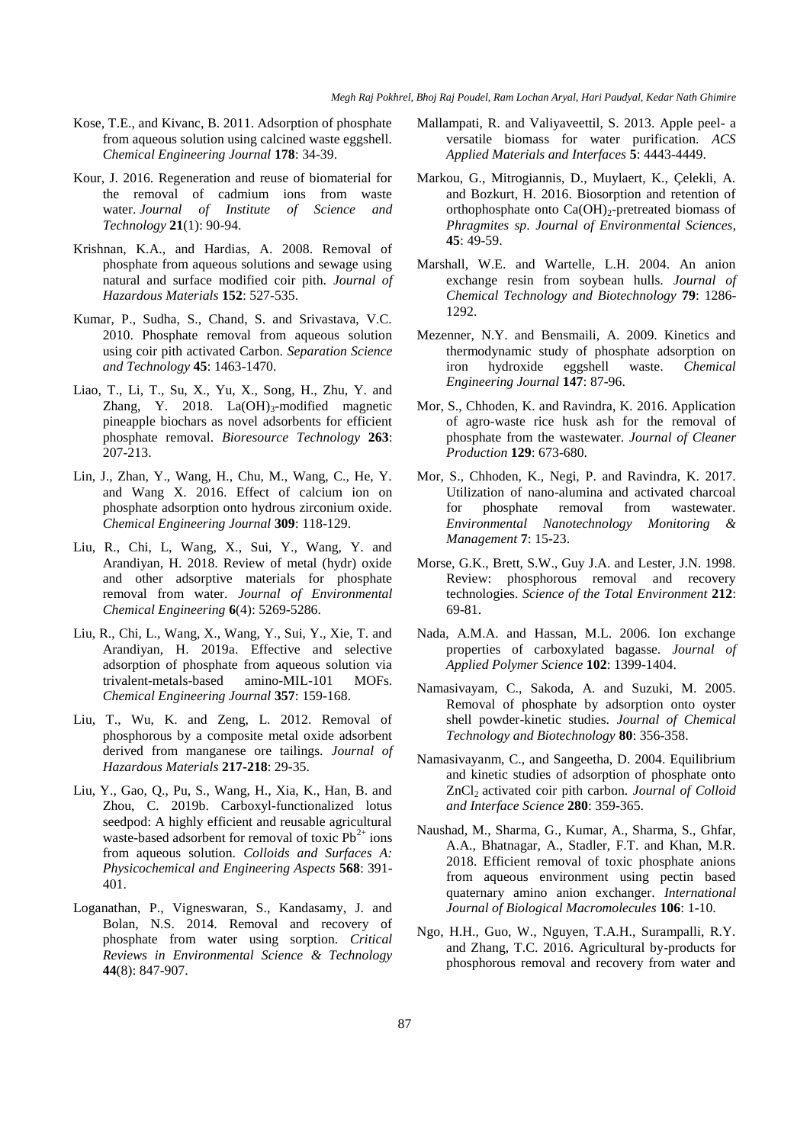- Kose, T.E., and Kivanc, B. 2011. Adsorption of phosphate from aqueous solution using calcined waste eggshell. *Chemical Engineering Journal* **178**: 34-39.
- Kour, J. 2016. Regeneration and reuse of biomaterial for the removal of cadmium ions from waste water. *Journal of Institute of Science and Technology* **21**(1): 90-94.
- Krishnan, K.A., and Hardias, A. 2008. Removal of phosphate from aqueous solutions and sewage using natural and surface modified coir pith. *Journal of Hazardous Materials* **152**: 527-535.
- Kumar, P., Sudha, S., Chand, S. and Srivastava, V.C. 2010. Phosphate removal from aqueous solution using coir pith activated Carbon. *Separation Science and Technology* **45**: 1463-1470.
- Liao, T., Li, T., Su, X., Yu, X., Song, H., Zhu, Y. and Zhang, Y. 2018. La $(OH)_{3}$ -modified magnetic pineapple biochars as novel adsorbents for efficient phosphate removal. *Bioresource Technology* **263**: 207-213.
- Lin, J., Zhan, Y., Wang, H., Chu, M., Wang, C., He, Y. and Wang X. 2016. Effect of calcium ion on phosphate adsorption onto hydrous zirconium oxide. *Chemical Engineering Journal* **309**: 118-129.
- Liu, R., Chi, L, Wang, X., Sui, Y., Wang, Y. and Arandiyan, H. 2018. Review of metal (hydr) oxide and other adsorptive materials for phosphate removal from water. *Journal of Environmental Chemical Engineering* **6**(4): 5269-5286.
- Liu, R., Chi, L., Wang, X., Wang, Y., Sui, Y., Xie, T. and Arandiyan, H. 2019a. Effective and selective adsorption of phosphate from aqueous solution via trivalent-metals-based amino-MIL-101 MOFs. *Chemical Engineering Journal* **357**: 159-168.
- Liu, T., Wu, K. and Zeng, L. 2012. Removal of phosphorous by a composite metal oxide adsorbent derived from manganese ore tailings. *Journal of Hazardous Materials* **217-218**: 29-35.
- Liu, Y., Gao, Q., Pu, S., Wang, H., Xia, K., Han, B. and Zhou, C. 2019b. Carboxyl-functionalized lotus seedpod: A highly efficient and reusable agricultural waste-based adsorbent for removal of toxic  $Pb^{2+}$  ions from aqueous solution. *Colloids and Surfaces A: Physicochemical and Engineering Aspects* **568**: 391- 401.
- Loganathan, P., Vigneswaran, S., Kandasamy, J. and Bolan, N.S. 2014. Removal and recovery of phosphate from water using sorption. *Critical Reviews in Environmental Science & Technology* **44**(8): 847-907.
- Mallampati, R. and Valiyaveettil, S. 2013. Apple peel- a versatile biomass for water purification. *ACS Applied Materials and Interfaces* **5**: 4443-4449.
- Markou, G., Mitrogiannis, D., Muylaert, K., Çelekli, A. and Bozkurt, H. 2016. Biosorption and retention of orthophosphate onto  $Ca(OH)<sub>2</sub>$ -pretreated biomass of *Phragmites sp*. *Journal of Environmental Sciences*, **45**: 49-59.
- Marshall, W.E. and Wartelle, L.H. 2004. An anion exchange resin from soybean hulls. *Journal of Chemical Technology and Biotechnology* **79**: 1286- 1292.
- Mezenner, N.Y. and Bensmaili, A. 2009. Kinetics and thermodynamic study of phosphate adsorption on iron hydroxide eggshell waste. *Chemical Engineering Journal* **147**: 87-96.
- Mor, S., Chhoden, K. and Ravindra, K. 2016. Application of agro-waste rice husk ash for the removal of phosphate from the wastewater. *Journal of Cleaner Production* **129**: 673-680.
- Mor, S., Chhoden, K., Negi, P. and Ravindra, K. 2017. Utilization of nano-alumina and activated charcoal for phosphate removal from wastewater. *Environmental Nanotechnology Monitoring & Management* **7**: 15-23.
- Morse, G.K., Brett, S.W., Guy J.A. and Lester, J.N. 1998. Review: phosphorous removal and recovery technologies. *Science of the Total Environment* **212**: 69-81.
- Nada, A.M.A. and Hassan, M.L. 2006. Ion exchange properties of carboxylated bagasse. *Journal of Applied Polymer Science* **102**: 1399-1404.
- Namasivayam, C., Sakoda, A. and Suzuki, M. 2005. Removal of phosphate by adsorption onto oyster shell powder-kinetic studies. *Journal of Chemical Technology and Biotechnology* **80**: 356-358.
- Namasivayanm, C., and Sangeetha, D. 2004. Equilibrium and kinetic studies of adsorption of phosphate onto ZnCl2 activated coir pith carbon. *Journal of Colloid and Interface Science* **280**: 359-365.
- Naushad, M., Sharma, G., Kumar, A., Sharma, S., Ghfar, A.A., Bhatnagar, A., Stadler, F.T. and Khan, M.R. 2018. Efficient removal of toxic phosphate anions from aqueous environment using pectin based quaternary amino anion exchanger. *International Journal of Biological Macromolecules* **106**: 1-10.
- Ngo, H.H., Guo, W., Nguyen, T.A.H., Surampalli, R.Y. and Zhang, T.C. 2016. Agricultural by-products for phosphorous removal and recovery from water and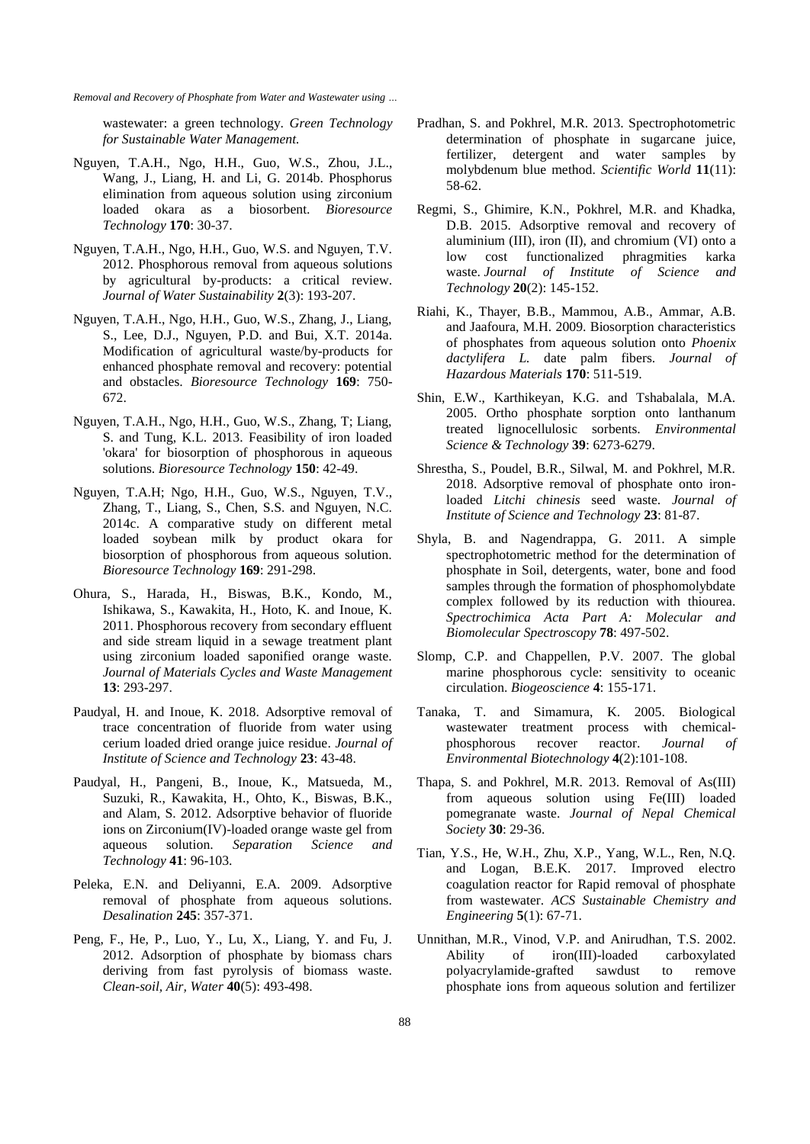wastewater: a green technology. *Green Technology for Sustainable Water Management.*

- Nguyen, T.A.H., Ngo, H.H., Guo, W.S., Zhou, J.L., Wang, J., Liang, H. and Li, G. 2014b. Phosphorus elimination from aqueous solution using zirconium loaded okara as a biosorbent. *Bioresource Technology* **170**: 30-37.
- Nguyen, T.A.H., Ngo, H.H., Guo, W.S. and Nguyen, T.V. 2012. Phosphorous removal from aqueous solutions by agricultural by-products: a critical review. *Journal of Water Sustainability* **2**(3): 193-207.
- Nguyen, T.A.H., Ngo, H.H., Guo, W.S., Zhang, J., Liang, S., Lee, D.J., Nguyen, P.D. and Bui, X.T. 2014a. Modification of agricultural waste/by-products for enhanced phosphate removal and recovery: potential and obstacles. *Bioresource Technology* **169**: 750- 672.
- Nguyen, T.A.H., Ngo, H.H., Guo, W.S., Zhang, T; Liang, S. and Tung, K.L. 2013. Feasibility of iron loaded 'okara' for biosorption of phosphorous in aqueous solutions. *Bioresource Technology* **150**: 42-49.
- Nguyen, T.A.H; Ngo, H.H., Guo, W.S., Nguyen, T.V., Zhang, T., Liang, S., Chen, S.S. and Nguyen, N.C. 2014c. A comparative study on different metal loaded soybean milk by product okara for biosorption of phosphorous from aqueous solution. *Bioresource Technology* **169**: 291-298.
- Ohura, S., Harada, H., Biswas, B.K., Kondo, M., Ishikawa, S., Kawakita, H., Hoto, K. and Inoue, K. 2011. Phosphorous recovery from secondary effluent and side stream liquid in a sewage treatment plant using zirconium loaded saponified orange waste. *Journal of Materials Cycles and Waste Management* **13**: 293-297.
- Paudyal, H. and Inoue, K. 2018. Adsorptive removal of trace concentration of fluoride from water using cerium loaded dried orange juice residue. *Journal of Institute of Science and Technology* **23**: 43-48.
- Paudyal, H., Pangeni, B., Inoue, K., Matsueda, M., Suzuki, R., Kawakita, H., Ohto, K., Biswas, B.K., and Alam, S. 2012. Adsorptive behavior of fluoride ions on Zirconium(IV)-loaded orange waste gel from aqueous solution. *Separation Science and Technology* **41**: 96-103.
- Peleka, E.N. and Deliyanni, E.A. 2009. Adsorptive removal of phosphate from aqueous solutions. *Desalination* **245**: 357-371.
- Peng, F., He, P., Luo, Y., Lu, X., Liang, Y. and Fu, J. 2012. Adsorption of phosphate by biomass chars deriving from fast pyrolysis of biomass waste. *Clean-soil, Air, Water* **40**(5): 493-498.
- Pradhan, S. and Pokhrel, M.R. 2013. Spectrophotometric determination of phosphate in sugarcane juice, fertilizer, detergent and water samples by molybdenum blue method. *Scientific World* **11**(11): 58-62.
- Regmi, S., Ghimire, K.N., Pokhrel, M.R. and Khadka, D.B. 2015. Adsorptive removal and recovery of aluminium (III), iron (II), and chromium (VI) onto a low cost functionalized phragmities karka waste. *Journal of Institute of Science and Technology* **20**(2): 145-152.
- Riahi, K., Thayer, B.B., Mammou, A.B., Ammar, A.B. and Jaafoura, M.H. 2009. Biosorption characteristics of phosphates from aqueous solution onto *Phoenix dactylifera L.* date palm fibers. *Journal of Hazardous Materials* **170**: 511-519.
- Shin, E.W., Karthikeyan, K.G. and Tshabalala, M.A. 2005. Ortho phosphate sorption onto lanthanum treated lignocellulosic sorbents. *Environmental Science & Technology* **39**: 6273-6279.
- Shrestha, S., Poudel, B.R., Silwal, M. and Pokhrel, M.R. 2018. Adsorptive removal of phosphate onto ironloaded *Litchi chinesis* seed waste. *Journal of Institute of Science and Technology* **23**: 81-87.
- Shyla, B. and Nagendrappa, G. 2011. A simple spectrophotometric method for the determination of phosphate in Soil, detergents, water, bone and food samples through the formation of phosphomolybdate complex followed by its reduction with thiourea. *Spectrochimica Acta Part A: Molecular and Biomolecular Spectroscopy* **78**: 497-502.
- Slomp, C.P. and Chappellen, P.V. 2007. The global marine phosphorous cycle: sensitivity to oceanic circulation. *Biogeoscience* **4**: 155-171.
- Tanaka, T. and Simamura, K. 2005. Biological wastewater treatment process with chemicalphosphorous recover reactor. *Journal of Environmental Biotechnology* **4**(2):101-108.
- Thapa, S. and Pokhrel, M.R. 2013. Removal of As(III) from aqueous solution using Fe(III) loaded pomegranate waste. *Journal of Nepal Chemical Society* **30**: 29-36.
- Tian, Y.S., He, W.H., Zhu, X.P., Yang, W.L., Ren, N.Q. and Logan, B.E.K. 2017. Improved electro coagulation reactor for Rapid removal of phosphate from wastewater. *ACS Sustainable Chemistry and Engineering* **5**(1): 67-71.
- Unnithan, M.R., Vinod, V.P. and Anirudhan, T.S. 2002. Ability of iron(III)-loaded carboxylated polyacrylamide-grafted sawdust to remove phosphate ions from aqueous solution and fertilizer